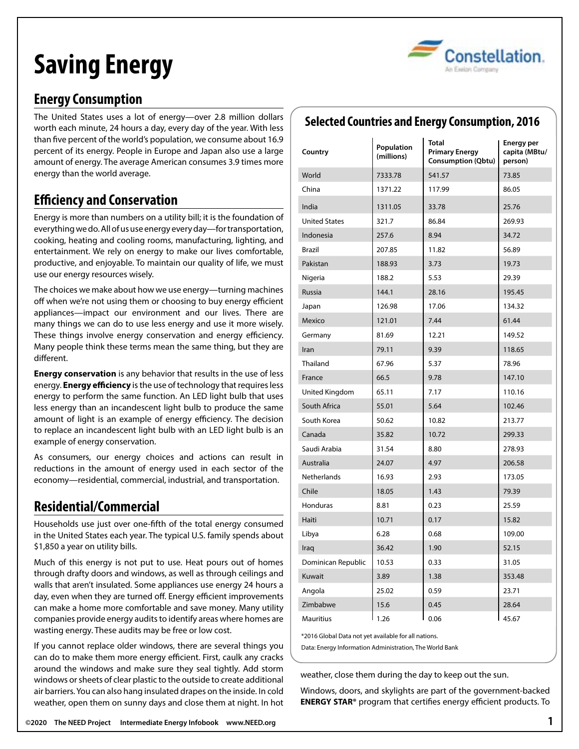# **Saving Energy**



# **Energy Consumption**

The United States uses a lot of energy—over 2.8 million dollars worth each minute, 24 hours a day, every day of the year. With less than five percent of the world's population, we consume about 16.9 percent of its energy. People in Europe and Japan also use a large amount of energy. The average American consumes 3.9 times more energy than the world average.

# **Efficiency and Conservation**

Energy is more than numbers on a utility bill; it is the foundation of everything we do. All of us use energy every day—for transportation, cooking, heating and cooling rooms, manufacturing, lighting, and entertainment. We rely on energy to make our lives comfortable, productive, and enjoyable. To maintain our quality of life, we must use our energy resources wisely.

The choices we make about how we use energy—turning machines off when we're not using them or choosing to buy energy efficient appliances—impact our environment and our lives. There are many things we can do to use less energy and use it more wisely. These things involve energy conservation and energy efficiency. Many people think these terms mean the same thing, but they are different.

**Energy conservation** is any behavior that results in the use of less energy. **Energy efficiency** is the use of technology that requires less energy to perform the same function. An LED light bulb that uses less energy than an incandescent light bulb to produce the same amount of light is an example of energy efficiency. The decision to replace an incandescent light bulb with an LED light bulb is an example of energy conservation.

As consumers, our energy choices and actions can result in reductions in the amount of energy used in each sector of the economy—residential, commercial, industrial, and transportation.

# **Residential/Commercial**

Households use just over one-fifth of the total energy consumed in the United States each year. The typical U.S. family spends about \$1,850 a year on utility bills.

Much of this energy is not put to use. Heat pours out of homes through drafty doors and windows, as well as through ceilings and walls that aren't insulated. Some appliances use energy 24 hours a day, even when they are turned off. Energy efficient improvements can make a home more comfortable and save money. Many utility companies provide energy audits to identify areas where homes are wasting energy. These audits may be free or low cost.

If you cannot replace older windows, there are several things you can do to make them more energy efficient. First, caulk any cracks around the windows and make sure they seal tightly. Add storm windows or sheets of clear plastic to the outside to create additional air barriers. You can also hang insulated drapes on the inside. In cold weather, open them on sunny days and close them at night. In hot

# **Selected Countries and Energy Consumption, 2016**

| Country              | Population<br>(millions) | <b>Total</b><br><b>Primary Energy</b><br><b>Consumption (Qbtu)</b> | <b>Energy per</b><br>capita (MBtu/<br>person) |
|----------------------|--------------------------|--------------------------------------------------------------------|-----------------------------------------------|
| World                | 7333.78                  | 541.57                                                             | 73.85                                         |
| China                | 1371.22                  | 117.99                                                             | 86.05                                         |
| India                | 1311.05                  | 33.78                                                              | 25.76                                         |
| <b>United States</b> | 321.7                    | 86.84                                                              | 269.93                                        |
| Indonesia            | 257.6                    | 8.94                                                               | 34.72                                         |
| <b>Brazil</b>        | 207.85                   | 11.82                                                              | 56.89                                         |
| Pakistan             | 188.93                   | 3.73                                                               | 19.73                                         |
| Nigeria              | 188.2                    | 5.53                                                               | 29.39                                         |
| <b>Russia</b>        | 144.1                    | 28.16                                                              | 195.45                                        |
| Japan                | 126.98                   | 17.06                                                              | 134.32                                        |
| Mexico               | 121.01                   | 7.44                                                               | 61.44                                         |
| Germany              | 81.69                    | 12.21                                                              | 149.52                                        |
| Iran                 | 79.11                    | 9.39                                                               | 118.65                                        |
| Thailand             | 67.96                    | 5.37                                                               | 78.96                                         |
| France               | 66.5                     | 9.78                                                               | 147.10                                        |
| United Kingdom       | 65.11                    | 7.17                                                               | 110.16                                        |
| South Africa         | 55.01                    | 5.64                                                               | 102.46                                        |
| South Korea          | 50.62                    | 10.82                                                              | 213.77                                        |
| Canada               | 35.82                    | 10.72                                                              | 299.33                                        |
| Saudi Arabia         | 31.54                    | 8.80                                                               | 278.93                                        |
| Australia            | 24.07                    | 4.97                                                               | 206.58                                        |
| <b>Netherlands</b>   | 16.93                    | 2.93                                                               | 173.05                                        |
| Chile                | 18.05                    | 1.43                                                               | 79.39                                         |
| Honduras             | 8.81                     | 0.23                                                               | 25.59                                         |
| Haiti                | 10.71                    | 0.17                                                               | 15.82                                         |
| Libya                | 6.28                     | 0.68                                                               | 109.00                                        |
| Iraq                 | 36.42                    | 1.90                                                               | 52.15                                         |
| Dominican Republic   | 10.53                    | 0.33                                                               | 31.05                                         |
| Kuwait               | 3.89                     | 1.38                                                               | 353.48                                        |
| Angola               | 25.02                    | 0.59                                                               | 23.71                                         |
| Zimbabwe             | 15.6                     | 0.45                                                               | 28.64                                         |
| Mauritius            | 1.26                     | 0.06                                                               | 45.67                                         |

\*2016 Global Data not yet available for all nations.

Data: Energy Information Administration, The World Bank

weather, close them during the day to keep out the sun.

Windows, doors, and skylights are part of the government-backed **ENERGY STAR®** program that certifies energy efficient products. To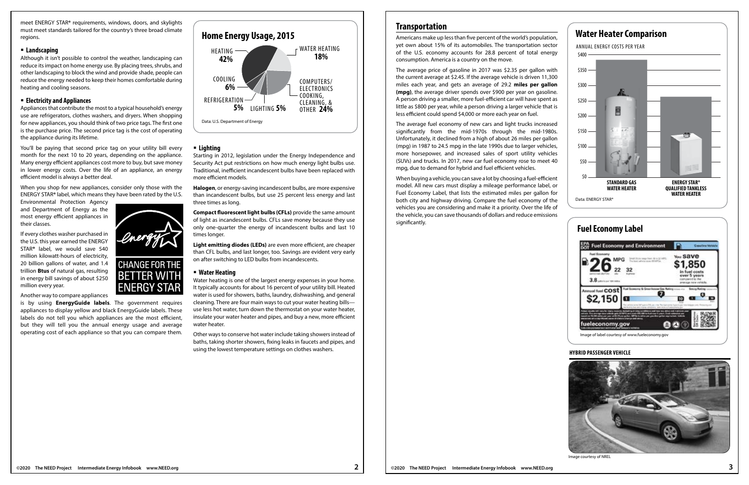



meet ENERGY STAR**®** requirements, windows, doors, and skylights must meet standards tailored for the country's three broad climate regions.

### **Landscaping**

Although it isn't possible to control the weather, landscaping can reduce its impact on home energy use. By placing trees, shrubs, and other landscaping to block the wind and provide shade, people can reduce the energy needed to keep their homes comfortable during heating and cooling seasons.

### **Electricity and Appliances**

Appliances that contribute the most to a typical household's energy use are refrigerators, clothes washers, and dryers. When shopping for new appliances, you should think of two price tags. The first one is the purchase price. The second price tag is the cost of operating the appliance during its lifetime.

You'll be paying that second price tag on your utility bill every month for the next 10 to 20 years, depending on the appliance. Many energy efficient appliances cost more to buy, but save money in lower energy costs. Over the life of an appliance, an energy efficient model is always a better deal.

When you shop for new appliances, consider only those with the ENERGY STAR**®** label, which means they have been rated by the U.S.

Environmental Protection Agency and Department of Energy as the most energy efficient appliances in their classes.

If every clothes washer purchased in the U.S. this year earned the ENERGY STAR**®** label, we would save 540 million kilowatt-hours of electricity, 20 billion gallons of water, and 1.4 trillion **Btus** of natural gas, resulting in energy bill savings of about \$250 million every year.

Another way to compare appliances

is by using **EnergyGuide labels**. The government requires appliances to display yellow and black EnergyGuide labels. These labels do not tell you which appliances are the most efficient, but they will tell you the annual energy usage and average operating cost of each appliance so that you can compare them*.*

### **Lighting**

Starting in 2012, legislation under the Energy Independence and Security Act put restrictions on how much energy light bulbs use. Traditional, inefficient incandescent bulbs have been replaced with more efficient models.

**Halogen**, or energy-saving incandescent bulbs, are more expensive than incandescent bulbs, but use 25 percent less energy and last three times as long.

**Compact fluorescent light bulbs (CFLs)** provide the same amount of light as incandescent bulbs. CFLs save money because they use only one-quarter the energy of incandescent bulbs and last 10 times longer.

**Light emitting diodes (LEDs)** are even more efficient, are cheaper than CFL bulbs, and last longer, too. Savings are evident very early on after switching to LED bulbs from incandescents.

### **Water Heating**

Water heating is one of the largest energy expenses in your home. It typically accounts for about 16 percent of your utility bill. Heated water is used for showers, baths, laundry, dishwashing, and general cleaning. There are four main ways to cut your water heating bills use less hot water, turn down the thermostat on your water heater, insulate your water heater and pipes, and buy a new, more efficient water heater.

Other ways to conserve hot water include taking showers instead of baths, taking shorter showers, fixing leaks in faucets and pipes, and using the lowest temperature settings on clothes washers.

# **Transportation**

Americans make up less than five percent of the world's population, yet own about 15% of its automobiles. The transportation sector of the U.S. economy accounts for 28.8 percent of total energy consumption. America is a country on the move.

The average price of gasoline in 2017 was \$2.35 per gallon with the current average at \$2.45. If the average vehicle is driven 11,300 miles each year, and gets an average of 29.2 **miles per gallon (mpg)**, the average driver spends over \$900 per year on gasoline. A person driving a smaller, more fuel-efficient car will have spent as little as \$800 per year, while a person driving a larger vehicle that is less efficient could spend \$4,000 or more each year on fuel.

The average fuel economy of new cars and light trucks increased significantly from the mid-1970s through the mid-1980s. Unfortunately, it declined from a high of about 26 miles per gallon (mpg) in 1987 to 24.5 mpg in the late 1990s due to larger vehicles, more horsepower, and increased sales of sport utility vehicles (SUVs) and trucks. In 2017, new car fuel economy rose to meet 40 mpg, due to demand for hybrid and fuel efficient vehicles.

When buying a vehicle, you can save a lot by choosing a fuel-efficient model. All new cars must display a mileage performance label, or Fuel Economy Label, that lists the estimated miles per gallon for both city and highway driving. Compare the fuel economy of the vehicles you are considering and make it a priority. Over the life of the vehicle, you can save thousands of dollars and reduce emissions significantly.



# **Fuel Economy Label**

## **HYBRID PASSENGER VEHICLE**



Image courtesy of NREL





# **Home Energy Usage, 2015**